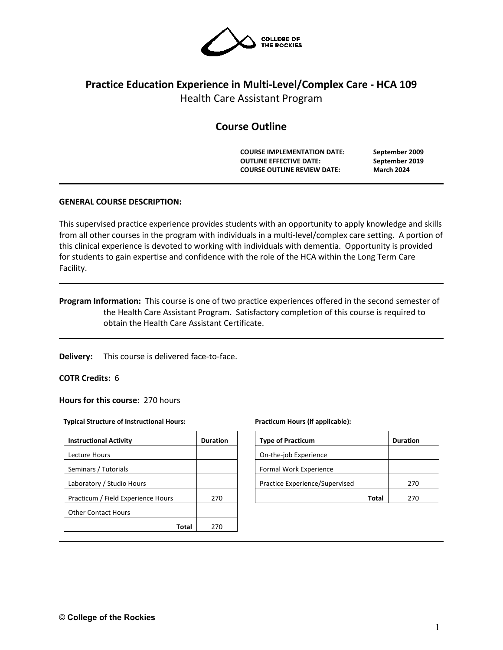

# **Practice Education Experience in Multi-Level/Complex Care - HCA 109** Health Care Assistant Program

# **Course Outline**

**COURSE IMPLEMENTATION DATE: September 2009 OUTLINE EFFECTIVE DATE: September 2019 COURSE OUTLINE REVIEW DATE: March 2024**

# **GENERAL COURSE DESCRIPTION:**

This supervised practice experience provides students with an opportunity to apply knowledge and skills from all other courses in the program with individuals in a multi-level/complex care setting. A portion of this clinical experience is devoted to working with individuals with dementia. Opportunity is provided for students to gain expertise and confidence with the role of the HCA within the Long Term Care Facility.

**Program Information:** This course is one of two practice experiences offered in the second semester of the Health Care Assistant Program. Satisfactory completion of this course is required to obtain the Health Care Assistant Certificate.

**Delivery:** This course is delivered face-to-face.

## **COTR Credits:** 6

**Hours for this course:** 270 hours

#### **Typical Structure of Instructional Hours:**

| <b>Instructional Activity</b>      | <b>Duration</b> |
|------------------------------------|-----------------|
| Lecture Hours                      |                 |
| Seminars / Tutorials               |                 |
| Laboratory / Studio Hours          |                 |
| Practicum / Field Experience Hours | 270             |
| <b>Other Contact Hours</b>         |                 |
| Total                              | 270             |

#### **Practicum Hours (if applicable):**

| <b>Type of Practicum</b>       |       | <b>Duration</b> |
|--------------------------------|-------|-----------------|
| On-the-job Experience          |       |                 |
| Formal Work Experience         |       |                 |
| Practice Experience/Supervised |       | 270             |
|                                | Total | ว7ก             |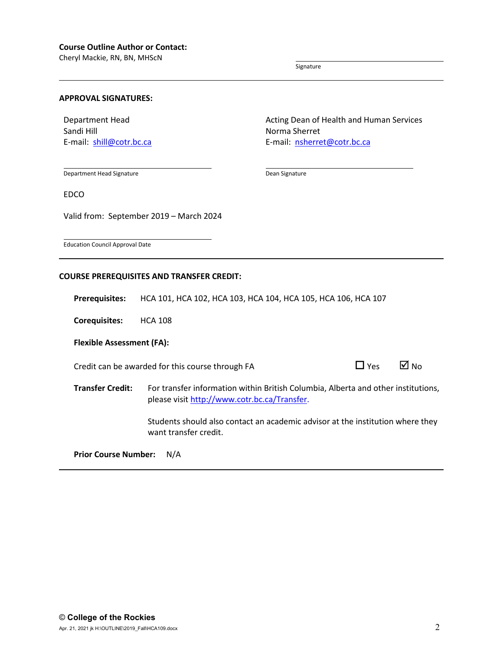Cheryl Mackie, RN, BN, MHScN

Signature

Dean Signature

### **APPROVAL SIGNATURES:**

Department Head Sandi Hill E-mail: [shill@cotr.bc.ca](mailto:shill@cotr.bc.ca) Acting Dean of Health and Human Services Norma Sherret E-mail: [nsherret@cotr.bc.ca](mailto:hepworth@cotr.bc.ca)

Department Head Signature

EDCO

Valid from: September 2019 – March 2024

Education Council Approval Date

# **COURSE PREREQUISITES AND TRANSFER CREDIT:**

**Prerequisites:** HCA 101, HCA 102, HCA 103, HCA 104, HCA 105, HCA 106, HCA 107

**Corequisites:** HCA 108

**Flexible Assessment (FA):**

Credit can be awarded for this course through FA  $\Box$  Yes  $\Box$  No

**Transfer Credit:** For transfer information within British Columbia, Alberta and other institutions, please visit [http://www.cotr.bc.ca/Transfer.](http://www.cotr.bc.ca/Transfer)

> Students should also contact an academic advisor at the institution where they want transfer credit.

**Prior Course Number:** N/A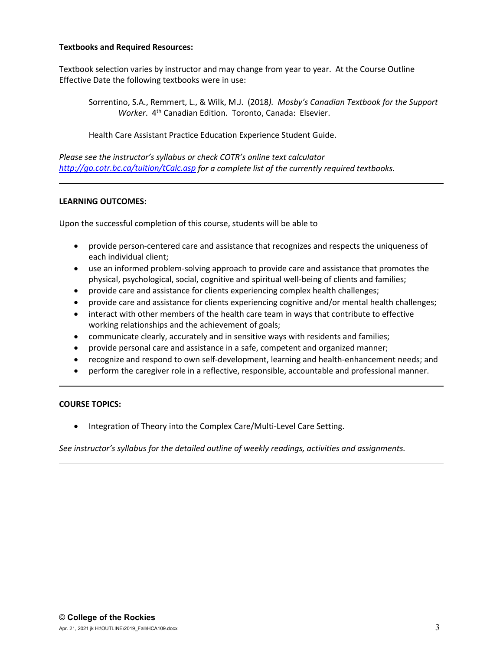# **Textbooks and Required Resources:**

Textbook selection varies by instructor and may change from year to year. At the Course Outline Effective Date the following textbooks were in use:

Sorrentino, S.A., Remmert, L., & Wilk, M.J. (2018*). Mosby's Canadian Textbook for the Support Worker*. 4th Canadian Edition. Toronto, Canada: Elsevier.

Health Care Assistant Practice Education Experience Student Guide.

*Please see the instructor's syllabus or check COTR's online text calculator <http://go.cotr.bc.ca/tuition/tCalc.asp> for a complete list of the currently required textbooks.*

# **LEARNING OUTCOMES:**

Upon the successful completion of this course, students will be able to

- provide person-centered care and assistance that recognizes and respects the uniqueness of each individual client;
- use an informed problem-solving approach to provide care and assistance that promotes the physical, psychological, social, cognitive and spiritual well-being of clients and families;
- provide care and assistance for clients experiencing complex health challenges;
- provide care and assistance for clients experiencing cognitive and/or mental health challenges;
- interact with other members of the health care team in ways that contribute to effective working relationships and the achievement of goals;
- communicate clearly, accurately and in sensitive ways with residents and families;
- provide personal care and assistance in a safe, competent and organized manner;
- recognize and respond to own self-development, learning and health-enhancement needs; and
- perform the caregiver role in a reflective, responsible, accountable and professional manner.

## **COURSE TOPICS:**

• Integration of Theory into the Complex Care/Multi-Level Care Setting.

*See instructor's syllabus for the detailed outline of weekly readings, activities and assignments.*